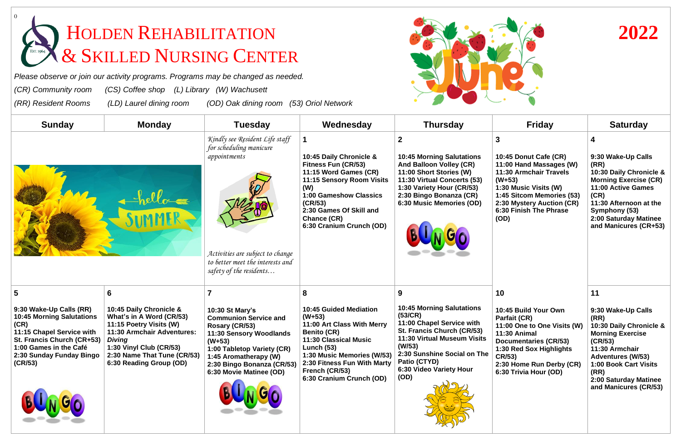## HOLDEN REHABILITATION **2022** & SKILLED NURSING CENTER

*Please observe or join our activity programs. Programs may be changed as needed.* 

*(CR) Community room (CS) Coffee shop (L) Library (W) Wachusett* 

*(RR) Resident Rooms (LD) Laurel dining room (OD) Oak dining room (53) Oriol Network* 

**5**

**(CR)**







| <b>Saturday</b><br>4<br>9:30 Wake-Up Calls                                                                                                                                                                                   |
|------------------------------------------------------------------------------------------------------------------------------------------------------------------------------------------------------------------------------|
|                                                                                                                                                                                                                              |
|                                                                                                                                                                                                                              |
| (RR)<br>10:30 Daily Chronicle &<br><b>Morning Exercise (CR)</b><br>11:00 Active Games<br>(CR)<br>11:30 Afternoon at the<br>Symphony (53)<br>2:00 Saturday Matinee<br>and Manicures (CR+53)                                   |
| 11                                                                                                                                                                                                                           |
| 9:30 Wake-Up Calls<br>(RR)<br>10:30 Daily Chronicle &<br><b>Morning Exercise</b><br>(CR/53)<br>11:30 Armchair<br><b>Adventures (W/53)</b><br>1:00 Book Cart Visits<br>(RR)<br>2:00 Saturday Matinee<br>and Manicures (CR/53) |
|                                                                                                                                                                                                                              |